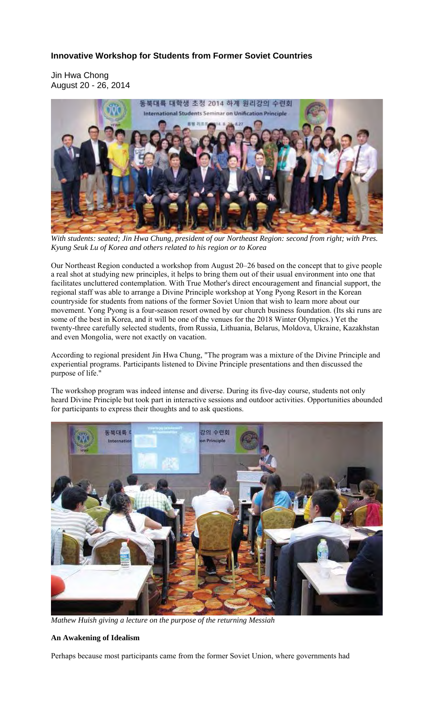# **Innovative Workshop for Students from Former Soviet Countries**

Jin Hwa Chong August 20 - 26, 2014



*With students: seated; Jin Hwa Chung, president of our Northeast Region: second from right; with Pres. Kyung Seuk Lu of Korea and others related to his region or to Korea* 

Our Northeast Region conducted a workshop from August 20–26 based on the concept that to give people a real shot at studying new principles, it helps to bring them out of their usual environment into one that facilitates uncluttered contemplation. With True Mother's direct encouragement and financial support, the regional staff was able to arrange a Divine Principle workshop at Yong Pyong Resort in the Korean countryside for students from nations of the former Soviet Union that wish to learn more about our movement. Yong Pyong is a four-season resort owned by our church business foundation. (Its ski runs are some of the best in Korea, and it will be one of the venues for the 2018 Winter Olympics.) Yet the twenty-three carefully selected students, from Russia, Lithuania, Belarus, Moldova, Ukraine, Kazakhstan and even Mongolia, were not exactly on vacation.

According to regional president Jin Hwa Chung, "The program was a mixture of the Divine Principle and experiential programs. Participants listened to Divine Principle presentations and then discussed the purpose of life."

The workshop program was indeed intense and diverse. During its five-day course, students not only heard Divine Principle but took part in interactive sessions and outdoor activities. Opportunities abounded for participants to express their thoughts and to ask questions.



*Mathew Huish giving a lecture on the purpose of the returning Messiah* 

## **An Awakening of Idealism**

Perhaps because most participants came from the former Soviet Union, where governments had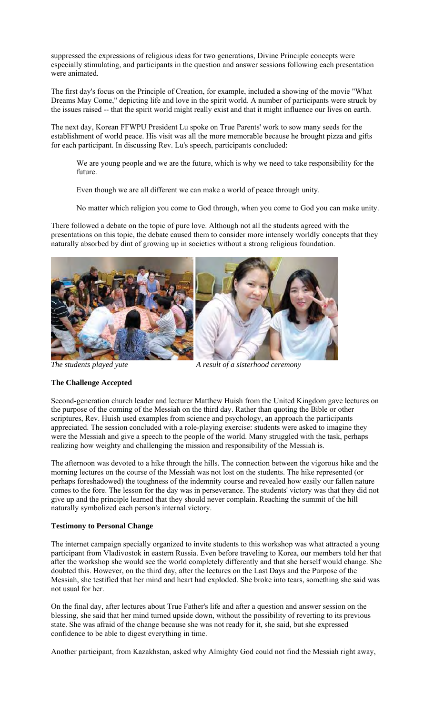suppressed the expressions of religious ideas for two generations, Divine Principle concepts were especially stimulating, and participants in the question and answer sessions following each presentation were animated.

The first day's focus on the Principle of Creation, for example, included a showing of the movie "What Dreams May Come," depicting life and love in the spirit world. A number of participants were struck by the issues raised -- that the spirit world might really exist and that it might influence our lives on earth.

The next day, Korean FFWPU President Lu spoke on True Parents' work to sow many seeds for the establishment of world peace. His visit was all the more memorable because he brought pizza and gifts for each participant. In discussing Rev. Lu's speech, participants concluded:

We are young people and we are the future, which is why we need to take responsibility for the future.

Even though we are all different we can make a world of peace through unity.

No matter which religion you come to God through, when you come to God you can make unity.

There followed a debate on the topic of pure love. Although not all the students agreed with the presentations on this topic, the debate caused them to consider more intensely worldly concepts that they naturally absorbed by dint of growing up in societies without a strong religious foundation.



*The students played yute*  $\overline{A}$  *A result of a sisterhood ceremony* 

#### **The Challenge Accepted**

Second-generation church leader and lecturer Matthew Huish from the United Kingdom gave lectures on the purpose of the coming of the Messiah on the third day. Rather than quoting the Bible or other scriptures, Rev. Huish used examples from science and psychology, an approach the participants appreciated. The session concluded with a role-playing exercise: students were asked to imagine they were the Messiah and give a speech to the people of the world. Many struggled with the task, perhaps realizing how weighty and challenging the mission and responsibility of the Messiah is.

The afternoon was devoted to a hike through the hills. The connection between the vigorous hike and the morning lectures on the course of the Messiah was not lost on the students. The hike represented (or perhaps foreshadowed) the toughness of the indemnity course and revealed how easily our fallen nature comes to the fore. The lesson for the day was in perseverance. The students' victory was that they did not give up and the principle learned that they should never complain. Reaching the summit of the hill naturally symbolized each person's internal victory.

## **Testimony to Personal Change**

The internet campaign specially organized to invite students to this workshop was what attracted a young participant from Vladivostok in eastern Russia. Even before traveling to Korea, our members told her that after the workshop she would see the world completely differently and that she herself would change. She doubted this. However, on the third day, after the lectures on the Last Days and the Purpose of the Messiah, she testified that her mind and heart had exploded. She broke into tears, something she said was not usual for her.

On the final day, after lectures about True Father's life and after a question and answer session on the blessing, she said that her mind turned upside down, without the possibility of reverting to its previous state. She was afraid of the change because she was not ready for it, she said, but she expressed confidence to be able to digest everything in time.

Another participant, from Kazakhstan, asked why Almighty God could not find the Messiah right away,